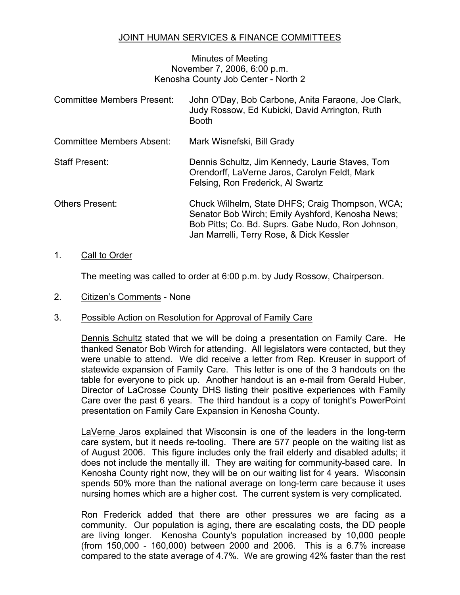## JOINT HUMAN SERVICES & FINANCE COMMITTEES

## Minutes of Meeting November 7, 2006, 6:00 p.m. Kenosha County Job Center - North 2

| <b>Committee Members Present:</b> | John O'Day, Bob Carbone, Anita Faraone, Joe Clark,<br>Judy Rossow, Ed Kubicki, David Arrington, Ruth<br><b>Booth</b>                                                                                 |
|-----------------------------------|------------------------------------------------------------------------------------------------------------------------------------------------------------------------------------------------------|
| <b>Committee Members Absent:</b>  | Mark Wisnefski, Bill Grady                                                                                                                                                                           |
| <b>Staff Present:</b>             | Dennis Schultz, Jim Kennedy, Laurie Staves, Tom<br>Orendorff, LaVerne Jaros, Carolyn Feldt, Mark<br>Felsing, Ron Frederick, Al Swartz                                                                |
| <b>Others Present:</b>            | Chuck Wilhelm, State DHFS; Craig Thompson, WCA;<br>Senator Bob Wirch; Emily Ayshford, Kenosha News;<br>Bob Pitts; Co. Bd. Suprs. Gabe Nudo, Ron Johnson,<br>Jan Marrelli, Terry Rose, & Dick Kessler |

## 1. Call to Order

The meeting was called to order at 6:00 p.m. by Judy Rossow, Chairperson.

2. Citizen's Comments - None

## 3. Possible Action on Resolution for Approval of Family Care

Dennis Schultz stated that we will be doing a presentation on Family Care. He thanked Senator Bob Wirch for attending. All legislators were contacted, but they were unable to attend. We did receive a letter from Rep. Kreuser in support of statewide expansion of Family Care. This letter is one of the 3 handouts on the table for everyone to pick up. Another handout is an e-mail from Gerald Huber, Director of LaCrosse County DHS listing their positive experiences with Family Care over the past 6 years. The third handout is a copy of tonight's PowerPoint presentation on Family Care Expansion in Kenosha County.

LaVerne Jaros explained that Wisconsin is one of the leaders in the long-term care system, but it needs re-tooling. There are 577 people on the waiting list as of August 2006. This figure includes only the frail elderly and disabled adults; it does not include the mentally ill. They are waiting for community-based care. In Kenosha County right now, they will be on our waiting list for 4 years. Wisconsin spends 50% more than the national average on long-term care because it uses nursing homes which are a higher cost. The current system is very complicated.

Ron Frederick added that there are other pressures we are facing as a community. Our population is aging, there are escalating costs, the DD people are living longer. Kenosha County's population increased by 10,000 people (from 150,000 - 160,000) between 2000 and 2006. This is a 6.7% increase compared to the state average of 4.7%. We are growing 42% faster than the rest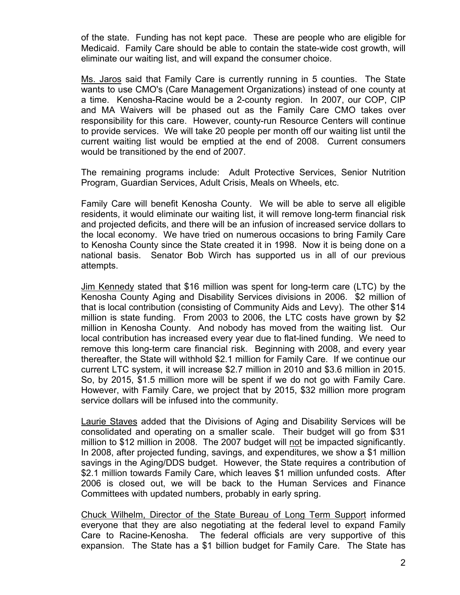of the state. Funding has not kept pace. These are people who are eligible for Medicaid. Family Care should be able to contain the state-wide cost growth, will eliminate our waiting list, and will expand the consumer choice.

Ms. Jaros said that Family Care is currently running in 5 counties. The State wants to use CMO's (Care Management Organizations) instead of one county at a time. Kenosha-Racine would be a 2-county region. In 2007, our COP, CIP and MA Waivers will be phased out as the Family Care CMO takes over responsibility for this care. However, county-run Resource Centers will continue to provide services. We will take 20 people per month off our waiting list until the current waiting list would be emptied at the end of 2008. Current consumers would be transitioned by the end of 2007.

The remaining programs include: Adult Protective Services, Senior Nutrition Program, Guardian Services, Adult Crisis, Meals on Wheels, etc.

Family Care will benefit Kenosha County. We will be able to serve all eligible residents, it would eliminate our waiting list, it will remove long-term financial risk and projected deficits, and there will be an infusion of increased service dollars to the local economy. We have tried on numerous occasions to bring Family Care to Kenosha County since the State created it in 1998. Now it is being done on a national basis. Senator Bob Wirch has supported us in all of our previous attempts.

Jim Kennedy stated that \$16 million was spent for long-term care (LTC) by the Kenosha County Aging and Disability Services divisions in 2006. \$2 million of that is local contribution (consisting of Community Aids and Levy). The other \$14 million is state funding. From 2003 to 2006, the LTC costs have grown by \$2 million in Kenosha County. And nobody has moved from the waiting list. Our local contribution has increased every year due to flat-lined funding. We need to remove this long-term care financial risk. Beginning with 2008, and every year thereafter, the State will withhold \$2.1 million for Family Care. If we continue our current LTC system, it will increase \$2.7 million in 2010 and \$3.6 million in 2015. So, by 2015, \$1.5 million more will be spent if we do not go with Family Care. However, with Family Care, we project that by 2015, \$32 million more program service dollars will be infused into the community.

Laurie Staves added that the Divisions of Aging and Disability Services will be consolidated and operating on a smaller scale. Their budget will go from \$31 million to \$12 million in 2008. The 2007 budget will not be impacted significantly. In 2008, after projected funding, savings, and expenditures, we show a \$1 million savings in the Aging/DDS budget. However, the State requires a contribution of \$2.1 million towards Family Care, which leaves \$1 million unfunded costs. After 2006 is closed out, we will be back to the Human Services and Finance Committees with updated numbers, probably in early spring.

Chuck Wilhelm, Director of the State Bureau of Long Term Support informed everyone that they are also negotiating at the federal level to expand Family Care to Racine-Kenosha. The federal officials are very supportive of this expansion. The State has a \$1 billion budget for Family Care. The State has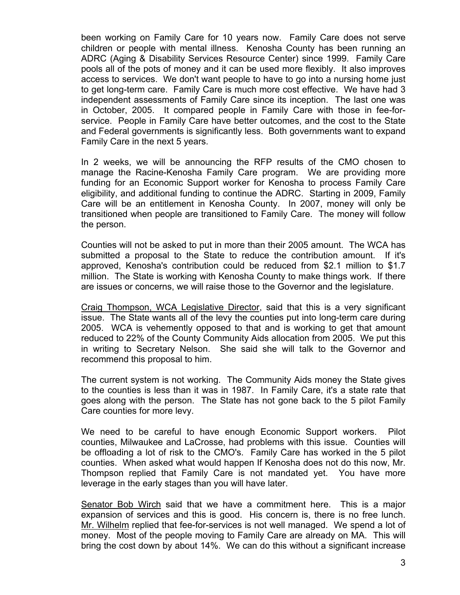been working on Family Care for 10 years now. Family Care does not serve children or people with mental illness. Kenosha County has been running an ADRC (Aging & Disability Services Resource Center) since 1999. Family Care pools all of the pots of money and it can be used more flexibly. It also improves access to services. We don't want people to have to go into a nursing home just to get long-term care. Family Care is much more cost effective. We have had 3 independent assessments of Family Care since its inception. The last one was in October, 2005. It compared people in Family Care with those in fee-forservice. People in Family Care have better outcomes, and the cost to the State and Federal governments is significantly less. Both governments want to expand Family Care in the next 5 years.

In 2 weeks, we will be announcing the RFP results of the CMO chosen to manage the Racine-Kenosha Family Care program. We are providing more funding for an Economic Support worker for Kenosha to process Family Care eligibility, and additional funding to continue the ADRC. Starting in 2009, Family Care will be an entitlement in Kenosha County. In 2007, money will only be transitioned when people are transitioned to Family Care. The money will follow the person.

Counties will not be asked to put in more than their 2005 amount. The WCA has submitted a proposal to the State to reduce the contribution amount. If it's approved, Kenosha's contribution could be reduced from \$2.1 million to \$1.7 million. The State is working with Kenosha County to make things work. If there are issues or concerns, we will raise those to the Governor and the legislature.

Craig Thompson, WCA Legislative Director, said that this is a very significant issue. The State wants all of the levy the counties put into long-term care during 2005. WCA is vehemently opposed to that and is working to get that amount reduced to 22% of the County Community Aids allocation from 2005. We put this in writing to Secretary Nelson. She said she will talk to the Governor and recommend this proposal to him.

The current system is not working. The Community Aids money the State gives to the counties is less than it was in 1987. In Family Care, it's a state rate that goes along with the person. The State has not gone back to the 5 pilot Family Care counties for more levy.

We need to be careful to have enough Economic Support workers. Pilot counties, Milwaukee and LaCrosse, had problems with this issue. Counties will be offloading a lot of risk to the CMO's. Family Care has worked in the 5 pilot counties. When asked what would happen If Kenosha does not do this now, Mr. Thompson replied that Family Care is not mandated yet. You have more leverage in the early stages than you will have later.

Senator Bob Wirch said that we have a commitment here. This is a major expansion of services and this is good. His concern is, there is no free lunch. Mr. Wilhelm replied that fee-for-services is not well managed. We spend a lot of money. Most of the people moving to Family Care are already on MA. This will bring the cost down by about 14%. We can do this without a significant increase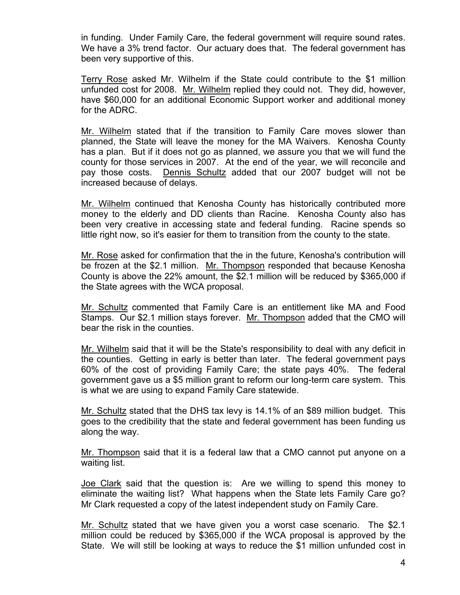in funding. Under Family Care, the federal government will require sound rates. We have a 3% trend factor. Our actuary does that. The federal government has been very supportive of this.

Terry Rose asked Mr. Wilhelm if the State could contribute to the \$1 million unfunded cost for 2008. Mr. Wilhelm replied they could not. They did, however, have \$60,000 for an additional Economic Support worker and additional money for the ADRC.

Mr. Wilhelm stated that if the transition to Family Care moves slower than planned, the State will leave the money for the MA Waivers. Kenosha County has a plan. But if it does not go as planned, we assure you that we will fund the county for those services in 2007. At the end of the year, we will reconcile and pay those costs. Dennis Schultz added that our 2007 budget will not be increased because of delays.

Mr. Wilhelm continued that Kenosha County has historically contributed more money to the elderly and DD clients than Racine. Kenosha County also has been very creative in accessing state and federal funding. Racine spends so little right now, so it's easier for them to transition from the county to the state.

Mr. Rose asked for confirmation that the in the future, Kenosha's contribution will be frozen at the \$2.1 million. Mr. Thompson responded that because Kenosha County is above the 22% amount, the \$2.1 million will be reduced by \$365,000 if the State agrees with the WCA proposal.

Mr. Schultz commented that Family Care is an entitlement like MA and Food Stamps. Our \$2.1 million stays forever. Mr. Thompson added that the CMO will bear the risk in the counties.

Mr. Wilhelm said that it will be the State's responsibility to deal with any deficit in the counties. Getting in early is better than later. The federal government pays 60% of the cost of providing Family Care; the state pays 40%. The federal government gave us a \$5 million grant to reform our long-term care system. This is what we are using to expand Family Care statewide.

Mr. Schultz stated that the DHS tax levy is 14.1% of an \$89 million budget. This goes to the credibility that the state and federal government has been funding us along the way.

Mr. Thompson said that it is a federal law that a CMO cannot put anyone on a waiting list.

Joe Clark said that the question is: Are we willing to spend this money to eliminate the waiting list? What happens when the State lets Family Care go? Mr Clark requested a copy of the latest independent study on Family Care.

Mr. Schultz stated that we have given you a worst case scenario. The \$2.1 million could be reduced by \$365,000 if the WCA proposal is approved by the State. We will still be looking at ways to reduce the \$1 million unfunded cost in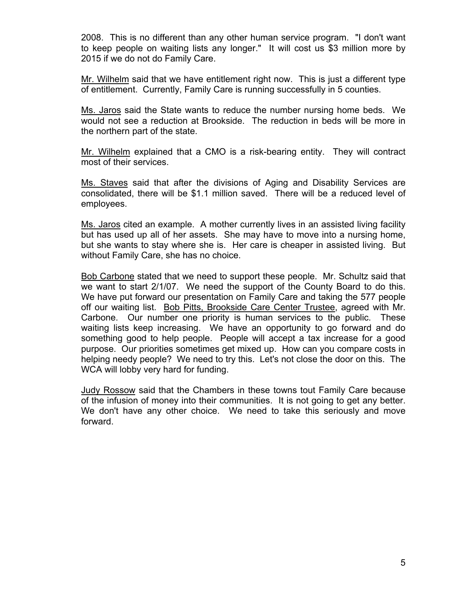2008. This is no different than any other human service program. "I don't want to keep people on waiting lists any longer." It will cost us \$3 million more by 2015 if we do not do Family Care.

Mr. Wilhelm said that we have entitlement right now. This is just a different type of entitlement. Currently, Family Care is running successfully in 5 counties.

Ms. Jaros said the State wants to reduce the number nursing home beds. We would not see a reduction at Brookside. The reduction in beds will be more in the northern part of the state.

Mr. Wilhelm explained that a CMO is a risk-bearing entity. They will contract most of their services.

Ms. Staves said that after the divisions of Aging and Disability Services are consolidated, there will be \$1.1 million saved. There will be a reduced level of employees.

Ms. Jaros cited an example. A mother currently lives in an assisted living facility but has used up all of her assets. She may have to move into a nursing home, but she wants to stay where she is. Her care is cheaper in assisted living. But without Family Care, she has no choice.

Bob Carbone stated that we need to support these people. Mr. Schultz said that we want to start 2/1/07. We need the support of the County Board to do this. We have put forward our presentation on Family Care and taking the 577 people off our waiting list. Bob Pitts, Brookside Care Center Trustee, agreed with Mr. Carbone. Our number one priority is human services to the public. These waiting lists keep increasing. We have an opportunity to go forward and do something good to help people. People will accept a tax increase for a good purpose. Our priorities sometimes get mixed up. How can you compare costs in helping needy people? We need to try this. Let's not close the door on this. The WCA will lobby very hard for funding.

Judy Rossow said that the Chambers in these towns tout Family Care because of the infusion of money into their communities. It is not going to get any better. We don't have any other choice. We need to take this seriously and move forward.